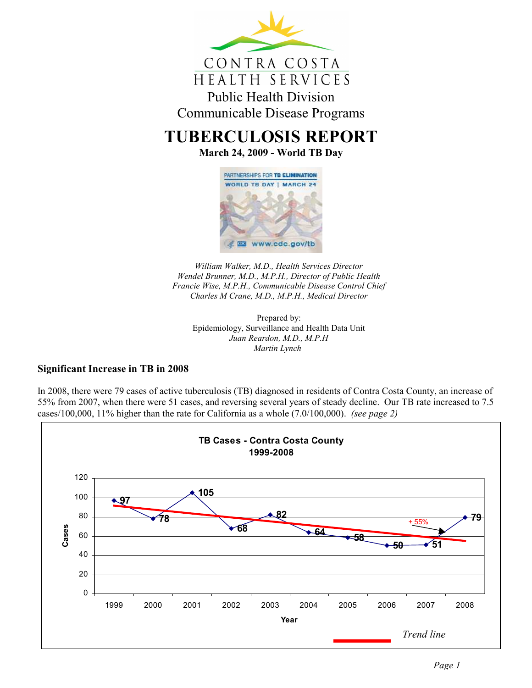

# TUBERCULOSIS REPORT

March 24, 2009 - World TB Day



William Walker, M.D., Health Services Director Wendel Brunner, M.D., M.P.H., Director of Public Health Francie Wise, M.P.H., Communicable Disease Control Chief Charles M Crane, M.D., M.P.H., Medical Director

Prepared by: Epidemiology, Surveillance and Health Data Unit Juan Reardon, M.D., M.P.H Martin Lynch

### Significant Increase in TB in 2008

In 2008, there were 79 cases of active tuberculosis (TB) diagnosed in residents of Contra Costa County, an increase of 55% from 2007, when there were 51 cases, and reversing several years of steady decline. Our TB rate increased to 7.5 cases/100,000, 11% higher than the rate for California as a whole (7.0/100,000). (see page 2)

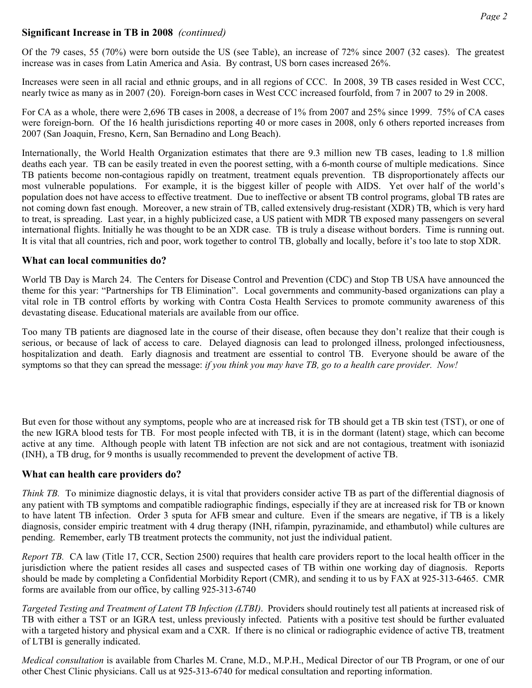## Significant Increase in TB in 2008 (continued)

Of the 79 cases, 55 (70%) were born outside the US (see Table), an increase of 72% since 2007 (32 cases). The greatest increase was in cases from Latin America and Asia. By contrast, US born cases increased 26%.

Increases were seen in all racial and ethnic groups, and in all regions of CCC. In 2008, 39 TB cases resided in West CCC, nearly twice as many as in 2007 (20). Foreign-born cases in West CCC increased fourfold, from 7 in 2007 to 29 in 2008.

For CA as a whole, there were 2,696 TB cases in 2008, a decrease of 1% from 2007 and 25% since 1999. 75% of CA cases were foreign-born. Of the 16 health jurisdictions reporting 40 or more cases in 2008, only 6 others reported increases from 2007 (San Joaquin, Fresno, Kern, San Bernadino and Long Beach).

Internationally, the World Health Organization estimates that there are 9.3 million new TB cases, leading to 1.8 million deaths each year. TB can be easily treated in even the poorest setting, with a 6-month course of multiple medications. Since TB patients become non-contagious rapidly on treatment, treatment equals prevention. TB disproportionately affects our most vulnerable populations. For example, it is the biggest killer of people with AIDS. Yet over half of the world's population does not have access to effective treatment. Due to ineffective or absent TB control programs, global TB rates are not coming down fast enough. Moreover, a new strain of TB, called extensively drug-resistant (XDR) TB, which is very hard to treat, is spreading. Last year, in a highly publicized case, a US patient with MDR TB exposed many passengers on several international flights. Initially he was thought to be an XDR case. TB is truly a disease without borders. Time is running out. It is vital that all countries, rich and poor, work together to control TB, globally and locally, before it's too late to stop XDR.

### What can local communities do?

World TB Day is March 24. The Centers for Disease Control and Prevention (CDC) and Stop TB USA have announced the theme for this year: "Partnerships for TB Elimination". Local governments and community-based organizations can play a vital role in TB control efforts by working with Contra Costa Health Services to promote community awareness of this devastating disease. Educational materials are available from our office.

Too many TB patients are diagnosed late in the course of their disease, often because they don't realize that their cough is serious, or because of lack of access to care. Delayed diagnosis can lead to prolonged illness, prolonged infectiousness, hospitalization and death. Early diagnosis and treatment are essential to control TB. Everyone should be aware of the symptoms so that they can spread the message: if you think you may have TB, go to a health care provider. Now!

But even for those without any symptoms, people who are at increased risk for TB should get a TB skin test (TST), or one of the new IGRA blood tests for TB. For most people infected with TB, it is in the dormant (latent) stage, which can become active at any time. Although people with latent TB infection are not sick and are not contagious, treatment with isoniazid (INH), a TB drug, for 9 months is usually recommended to prevent the development of active TB.

### What can health care providers do?

Think TB. To minimize diagnostic delays, it is vital that providers consider active TB as part of the differential diagnosis of any patient with TB symptoms and compatible radiographic findings, especially if they are at increased risk for TB or known to have latent TB infection. Order 3 sputa for AFB smear and culture. Even if the smears are negative, if TB is a likely diagnosis, consider empiric treatment with 4 drug therapy (INH, rifampin, pyrazinamide, and ethambutol) while cultures are pending. Remember, early TB treatment protects the community, not just the individual patient.

Report TB. CA law (Title 17, CCR, Section 2500) requires that health care providers report to the local health officer in the jurisdiction where the patient resides all cases and suspected cases of TB within one working day of diagnosis. Reports should be made by completing a Confidential Morbidity Report (CMR), and sending it to us by FAX at 925-313-6465. CMR forms are available from our office, by calling 925-313-6740

Targeted Testing and Treatment of Latent TB Infection (LTBI). Providers should routinely test all patients at increased risk of TB with either a TST or an IGRA test, unless previously infected. Patients with a positive test should be further evaluated with a targeted history and physical exam and a CXR. If there is no clinical or radiographic evidence of active TB, treatment of LTBI is generally indicated.

Medical consultation is available from Charles M. Crane, M.D., M.P.H., Medical Director of our TB Program, or one of our other Chest Clinic physicians. Call us at 925-313-6740 for medical consultation and reporting information.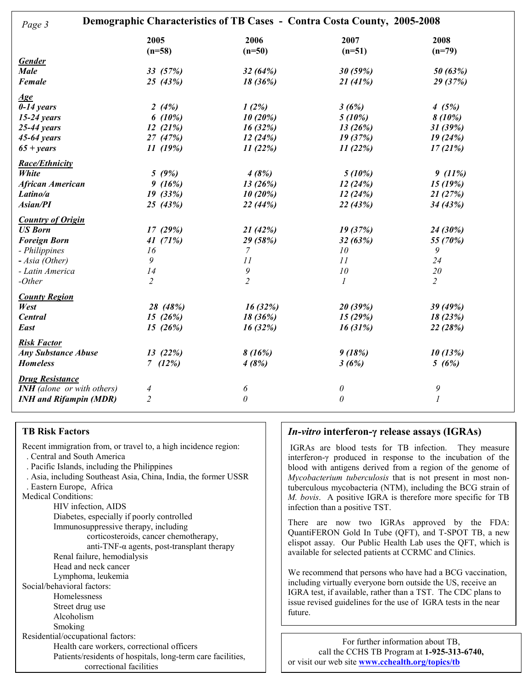| Demographic Characteristics of TB Cases - Contra Costa County, 2005-2008<br>Page 3 |                |                |                       |                  |
|------------------------------------------------------------------------------------|----------------|----------------|-----------------------|------------------|
|                                                                                    | 2005           | 2006           | 2007                  | 2008             |
|                                                                                    | $(n=58)$       | $(n=50)$       | $(n=51)$              | $(n=79)$         |
| <b>Gender</b>                                                                      |                |                |                       |                  |
| <b>Male</b>                                                                        | 33(57%)        | 32(64%)        | 30 (59%)              | 50 (63%)         |
| Female                                                                             | 25 $(43%)$     | 18 (36%)       | 21(41%)               | 29 (37%)         |
| <u>Age</u>                                                                         |                |                |                       |                  |
| $0-14$ years                                                                       | 2 $(4%)$       | 1(2%)          | 3(6%)                 | 4(5%)            |
| $15-24$ years                                                                      | 6 $(10\%)$     | 10(20%)        | $5(10\%)$             | $8(10\%)$        |
| $25-44$ years                                                                      | 12(21%)        | 16(32%)        | 13(26%)               | 31(39%)          |
| $45-64$ years                                                                      | 27 (47%)       | 12(24%)        | 19(37%)               | 19(24%)          |
| $65 + \text{years}$                                                                | 11(19%)        | 11(22%)        | 11(22%)               | 17(21%)          |
| <b>Race/Ethnicity</b>                                                              |                |                |                       |                  |
| White                                                                              | 5(9%)          | 4(8%)          | 5(10%)                | 9(11%)           |
| <b>African American</b>                                                            | 9(16%)         | 13(26%)        | 12(24%)               | 15(19%)          |
| Latino/a                                                                           | 19(33%)        | 10(20%)        | 12(24%)               | 21(27%)          |
| Asian/PI                                                                           | 25(43%)        | 22 (44%)       | 22(43%)               | 34(43%)          |
| <b>Country of Origin</b>                                                           |                |                |                       |                  |
| <b>US Born</b>                                                                     | 17(29%)        | 21(42%)        | 19 (37%)              | 24 (30%)         |
| <b>Foreign Born</b>                                                                | 41 $(71%)$     | 29 (58%)       | 32(63%)               | 55 (70%)         |
| - Philippines                                                                      | 16             | 7              | 10                    | 9                |
| - Asia (Other)                                                                     | 9              | 11             | 11                    | 24               |
| - Latin America                                                                    | 14             | 9              | 10                    | 20               |
| $-Other$                                                                           | $\overline{c}$ | $\overline{c}$ | 1                     | $\overline{2}$   |
| <b>County Region</b>                                                               |                |                |                       |                  |
| West                                                                               | 28 (48%)       | 16(32%)        | 20 (39%)              | 39 (49%)         |
| <b>Central</b>                                                                     | 15(26%)        | 18 (36%)       | 15(29%)               | 18(23%)          |
| East                                                                               | 15 $(26%)$     | 16(32%)        | 16(31%)               | 22 (28%)         |
| <b>Risk Factor</b>                                                                 |                |                |                       |                  |
| <b>Any Substance Abuse</b>                                                         | 13(22%)        | 8(16%)         | 9(18%)                | 10(13%)          |
| <b>Homeless</b>                                                                    | (12%)          | 4(8%)          | 3(6%)                 | 5(6%)            |
| <b>Drug Resistance</b>                                                             |                |                |                       |                  |
| <b>INH</b> (alone or with others)                                                  | 4              | 6              | $\boldsymbol{\theta}$ | 9                |
| <b>INH and Rifampin (MDR)</b>                                                      | $\overline{2}$ | $\theta$       | $\theta$              | $\boldsymbol{l}$ |
|                                                                                    |                |                |                       |                  |

#### TB Risk Factors

Recent immigration from, or travel to, a high incidence region: . Central and South America . Pacific Islands, including the Philippines . Asia, including Southeast Asia, China, India, the former USSR . Eastern Europe, Africa Medical Conditions: HIV infection, AIDS Diabetes, especially if poorly controlled Immunosuppressive therapy, including corticosteroids, cancer chemotherapy, anti-TNF- $\alpha$  agents, post-transplant therapy Renal failure, hemodialysis Head and neck cancer Lymphoma, leukemia Social/behavioral factors: Homelessness Street drug use Alcoholism Smoking Residential/occupational factors: Health care workers, correctional officers Patients/residents of hospitals, long-term care facilities, correctional facilities

#### In-vitro interferon-γ release assays (IGRAs)

IGRAs are blood tests for TB infection. They measure interferon-γ produced in response to the incubation of the blood with antigens derived from a region of the genome of Mycobacterium tuberculosis that is not present in most nontuberculous mycobacteria (NTM), including the BCG strain of M. bovis. A positive IGRA is therefore more specific for TB infection than a positive TST.

There are now two IGRAs approved by the FDA: QuantiFERON Gold In Tube (QFT), and T-SPOT TB, a new elispot assay. Our Public Health Lab uses the QFT, which is available for selected patients at CCRMC and Clinics.

We recommend that persons who have had a BCG vaccination, including virtually everyone born outside the US, receive an IGRA test, if available, rather than a TST. The CDC plans to issue revised guidelines for the use of IGRA tests in the near future.

For further information about TB, call the CCHS TB Program at 1-925-313-6740, or visit our web site www.cchealth.org/topics/tb